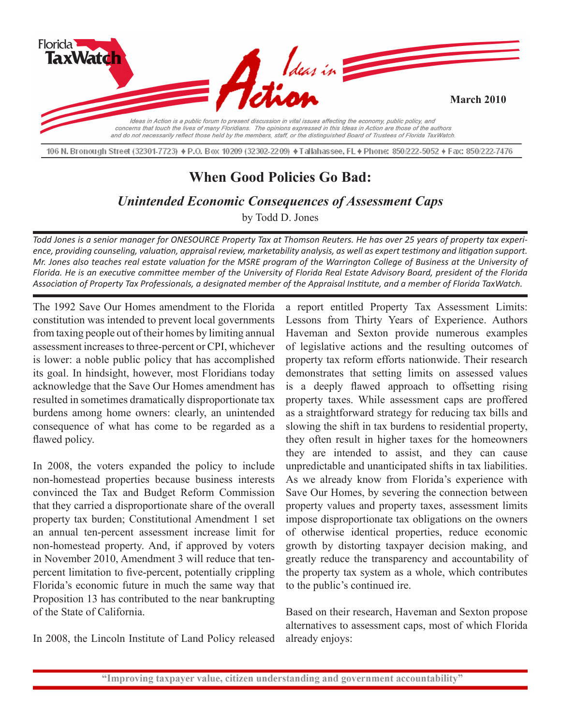

106 N. Bronough Street (32301-7723) ♦ P.O. Box 10209 (32302-2209) ♦ Tallahassee, FL ♦ Phone: 850/222-5052 ♦ Fax: 850/222-7476

## **When Good Policies Go Bad:**

*Unintended Economic Consequences of Assessment Caps*

by Todd D. Jones

*Todd Jones is a senior manager for ONESOURCE Property Tax at Thomson Reuters. He has over 25 years of property tax experience, providing counseling, valuation, appraisal review, marketability analysis, as well as expert testimony and litigation support. Mr. Jones also teaches real estate valuation for the MSRE program of the Warrington College of Business at the University of Florida. He is an executive committee member of the University of Florida Real Estate Advisory Board, president of the Florida Association of Property Tax Professionals, a designated member of the Appraisal Institute, and a member of Florida TaxWatch.*

The 1992 Save Our Homes amendment to the Florida constitution was intended to prevent local governments from taxing people out of their homes by limiting annual assessment increases to three-percent or CPI, whichever is lower: a noble public policy that has accomplished its goal. In hindsight, however, most Floridians today acknowledge that the Save Our Homes amendment has resulted in sometimes dramatically disproportionate tax burdens among home owners: clearly, an unintended consequence of what has come to be regarded as a flawed policy.

In 2008, the voters expanded the policy to include non-homestead properties because business interests convinced the Tax and Budget Reform Commission that they carried a disproportionate share of the overall property tax burden; Constitutional Amendment 1 set an annual ten-percent assessment increase limit for non-homestead property. And, if approved by voters in November 2010, Amendment 3 will reduce that tenpercent limitation to five-percent, potentially crippling Florida's economic future in much the same way that Proposition 13 has contributed to the near bankrupting of the State of California.

In 2008, the Lincoln Institute of Land Policy released

a report entitled Property Tax Assessment Limits: Lessons from Thirty Years of Experience. Authors Haveman and Sexton provide numerous examples of legislative actions and the resulting outcomes of property tax reform efforts nationwide. Their research demonstrates that setting limits on assessed values is a deeply flawed approach to offsetting rising property taxes. While assessment caps are proffered as a straightforward strategy for reducing tax bills and slowing the shift in tax burdens to residential property, they often result in higher taxes for the homeowners they are intended to assist, and they can cause unpredictable and unanticipated shifts in tax liabilities. As we already know from Florida's experience with Save Our Homes, by severing the connection between property values and property taxes, assessment limits impose disproportionate tax obligations on the owners of otherwise identical properties, reduce economic growth by distorting taxpayer decision making, and greatly reduce the transparency and accountability of the property tax system as a whole, which contributes to the public's continued ire.

Based on their research, Haveman and Sexton propose alternatives to assessment caps, most of which Florida already enjoys: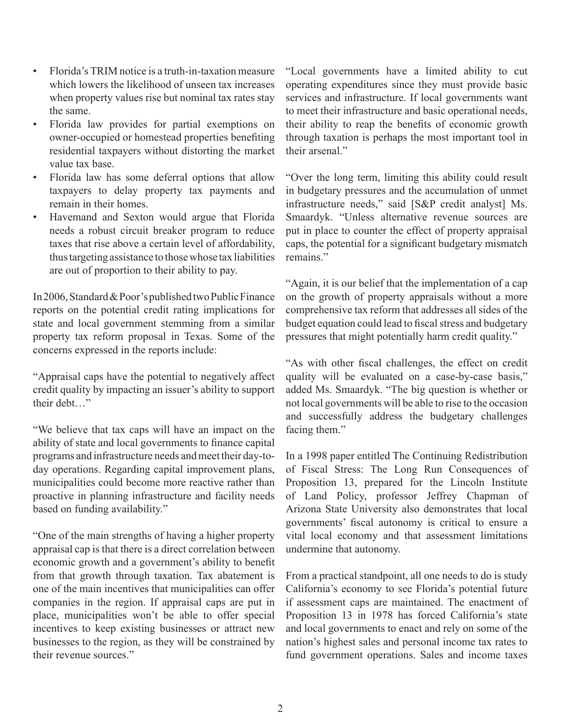- Florida's TRIM notice is a truth-in-taxation measure which lowers the likelihood of unseen tax increases when property values rise but nominal tax rates stay the same.
- Florida law provides for partial exemptions on owner-occupied or homestead properties benefiting residential taxpayers without distorting the market value tax base.
- Florida law has some deferral options that allow taxpayers to delay property tax payments and remain in their homes.
- Havemand and Sexton would argue that Florida needs a robust circuit breaker program to reduce taxes that rise above a certain level of affordability, thus targeting assistance to those whose tax liabilities are out of proportion to their ability to pay.

In 2006, Standard & Poor's published two Public Finance reports on the potential credit rating implications for state and local government stemming from a similar property tax reform proposal in Texas. Some of the concerns expressed in the reports include:

"Appraisal caps have the potential to negatively affect credit quality by impacting an issuer's ability to support their debt…"

"We believe that tax caps will have an impact on the ability of state and local governments to finance capital programs and infrastructure needs and meet their day-today operations. Regarding capital improvement plans, municipalities could become more reactive rather than proactive in planning infrastructure and facility needs based on funding availability."

"One of the main strengths of having a higher property appraisal cap is that there is a direct correlation between economic growth and a government's ability to benefit from that growth through taxation. Tax abatement is one of the main incentives that municipalities can offer companies in the region. If appraisal caps are put in place, municipalities won't be able to offer special incentives to keep existing businesses or attract new businesses to the region, as they will be constrained by their revenue sources."

"Local governments have a limited ability to cut operating expenditures since they must provide basic services and infrastructure. If local governments want to meet their infrastructure and basic operational needs, their ability to reap the benefits of economic growth through taxation is perhaps the most important tool in their arsenal."

"Over the long term, limiting this ability could result in budgetary pressures and the accumulation of unmet infrastructure needs," said [S&P credit analyst] Ms. Smaardyk. "Unless alternative revenue sources are put in place to counter the effect of property appraisal caps, the potential for a significant budgetary mismatch remains."

"Again, it is our belief that the implementation of a cap on the growth of property appraisals without a more comprehensive tax reform that addresses all sides of the budget equation could lead to fiscal stress and budgetary pressures that might potentially harm credit quality."

"As with other fiscal challenges, the effect on credit quality will be evaluated on a case-by-case basis," added Ms. Smaardyk. "The big question is whether or not local governments will be able to rise to the occasion and successfully address the budgetary challenges facing them."

In a 1998 paper entitled The Continuing Redistribution of Fiscal Stress: The Long Run Consequences of Proposition 13, prepared for the Lincoln Institute of Land Policy, professor Jeffrey Chapman of Arizona State University also demonstrates that local governments' fiscal autonomy is critical to ensure a vital local economy and that assessment limitations undermine that autonomy.

From a practical standpoint, all one needs to do is study California's economy to see Florida's potential future if assessment caps are maintained. The enactment of Proposition 13 in 1978 has forced California's state and local governments to enact and rely on some of the nation's highest sales and personal income tax rates to fund government operations. Sales and income taxes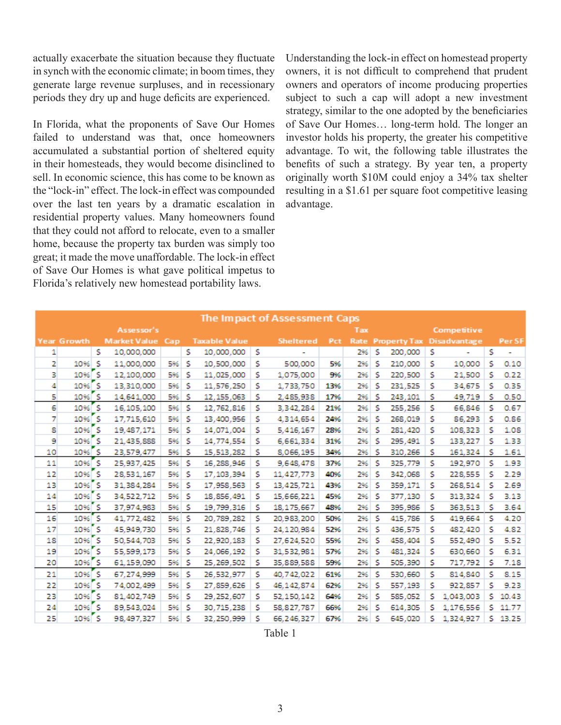actually exacerbate the situation because they fluctuate in synch with the economic climate; in boom times, they generate large revenue surpluses, and in recessionary periods they dry up and huge deficits are experienced.

In Florida, what the proponents of Save Our Homes failed to understand was that, once homeowners accumulated a substantial portion of sheltered equity in their homesteads, they would become disinclined to sell. In economic science, this has come to be known as the "lock-in" effect. The lock-in effect was compounded over the last ten years by a dramatic escalation in residential property values. Many homeowners found that they could not afford to relocate, even to a smaller home, because the property tax burden was simply too great; it made the move unaffordable. The lock-in effect of Save Our Homes is what gave political impetus to Florida's relatively new homestead portability laws.

Understanding the lock-in effect on homestead property owners, it is not difficult to comprehend that prudent owners and operators of income producing properties subject to such a cap will adopt a new investment strategy, similar to the one adopted by the beneficiaries of Save Our Homes… long-term hold. The longer an investor holds his property, the greater his competitive advantage. To wit, the following table illustrates the benefits of such a strategy. By year ten, a property originally worth \$10M could enjoy a 34% tax shelter resulting in a \$1.61 per square foot competitive leasing advantage.

|    |                    |    |                     |     |   |                      |   | The Impact of Assessment Caps |     |      |    |                     |             |                     |   |        |
|----|--------------------|----|---------------------|-----|---|----------------------|---|-------------------------------|-----|------|----|---------------------|-------------|---------------------|---|--------|
|    | Assessor's         |    |                     |     |   |                      |   |                               | Tax |      |    |                     | Competitive |                     |   |        |
|    | <b>Year Growth</b> |    | <b>Market Value</b> | Cap |   | <b>Taxable Value</b> |   | <b>Sheltered</b>              | Pct | Rate |    | <b>Property Tax</b> |             | <b>Disadvantage</b> |   | Per SF |
| 1  |                    | s  | 10,000,000          |     | s | 10,000,000           | s | ۰                             |     | 2%   | s  | 200,000             | s           |                     | s | ۰      |
| 2  | 10%                | s  | 11.000.000          | 5%  | s | 10,500,000           | s | 500,000                       | 5%  | 2%   | s  | 210,000             | s           | 10,000              | s | 0.10   |
| з  | $10%$ S            |    | 12.100.000          | 5%  | s | 11.025.000           | s | 1,075,000                     | 9%  | 2%   | s  | 220,500             | s           | 21,500              | s | 0.22   |
| 4  | $10%$ S            |    | 13.310.000          | 5%  | s | 11,576,250           | s | 1,733,750                     | 13% | 2%   | s  | 231.525             | s           | 34.675              | s | 0.35   |
| 5  | 10%                | 'S | 14,641,000          | 5%  | s | 12, 155, 063         | s | 2,485,938                     | 17% | 2%   | s  | 243,101             | s           | 49,719              | s | 0.50   |
| 6  | $10%$ S            |    | 16, 105, 100        | 5%  | s | 12.762.816           | s | 3,342,284                     | 21% | 2%   | s  | 255,256             | s           | 66,846              | s | 0.67   |
| 7  | 10% S              |    | 17,715,610          | 5%  | s | 13,400,956           | s | 4,314,654                     | 24% | 2%   | s  | 268,019             | s           | 86,293              | s | 0.86   |
| 8  | $10%$ S            |    | 19,487,171          | 5%  | s | 14.071.004           | s | 5,416,167                     | 28% | 2%   | s  | 281,420             | s           | 108,323             | s | 1.08   |
| 9  | $10%$ S            |    | 21.435,888          | 5%  | s | 14,774,554           | s | 6,661,334                     | 31% | 2%   | s  | 295,491             | s           | 133,227             | s | 1.33   |
| 10 | 10% S              |    | 23.579.477          | 5%  | s | 15,513,282           | s | 8.066.195                     | 34% | 2%   | .s | 310,266             | s           | 161,324             | s | 1.61   |
| 11 | 10%                | s  | 25.937.425          | 5%  | s | 16.288.946           | s | 9,648,478                     | 37% | 2%   | s  | 325.779             | s           | 192.970             | s | 1.93   |
| 12 | $10%$ S            |    | 28,531,167          | 5%  | s | 17, 103, 394         | s | 11,427,773                    | 40% | 2%   | s  | 342,068             | s           | 228.555             | s | 2.29   |
| 13 | 10% S              |    | 31,384,284          | 5%  | s | 17,958,563           | s | 13,425,721                    | 43% | 2%   | s  | 359,171             | s           | 268,514             | s | 2.69   |
| 14 | 10%                | 'S | 34,522,712          | 5%  | s | 18,856,491           | s | 15,666,221                    | 45% | 2%   | s  | 377,130             | s           | 313,324             | s | 3.13   |
| 15 | $10%$ S            |    | 37,974,983          | 5%  | s | 19,799,316           | s | 18, 175, 667                  | 48% | 2%   | s  | 395,986             | s           | 363,513             | s | 3.64   |
| 16 | 10%                | 'S | 41,772,482          | 5%  | s | 20,789,282           | s | 20,983,200                    | 50% | 2%   | s  | 415,786             | s           | 419,664             | s | 4.20   |
| 17 | $10%$ S            |    | 45,949,730          | 5%  | s | 21.828.746           | s | 24.120.984                    | 52% | 2%   | s  | 436,575             | s           | 482,420             | s | 4.82   |
| 18 | $10%$ S            |    | 50,544,703          | 5%  | s | 22.920.183           | s | 27,624,520                    | 55% | 2%   | s  | 458,404             | s           | 552,490             | s | 5.52   |
| 19 | 10% S              |    | 55.599.173          | 5%  | s | 24.066.192           | s | 31.532.981                    | 57% | 2%   | s  | 481.324             | s           | 630,660             | s | 6.31   |
| 20 | 10% S              |    | 61,159,090          | 5%  | s | 25,269,502           | s | 35,889,588                    | 59% | 2%   | s  | 505,390             | s           | 717,792             | s | 7.18   |
| 21 | 10%                | 'S | 67.274.999          | 5%  | s | 26,532,977           | s | 40,742,022                    | 61% | 2%   | s  | 530,660             | s           | 814.840             | s | 8.15   |
| 22 | 10% S              |    | 74.002.499          | 5%  | s | 27,859,626           | s | 46,142,874                    | 62% | 2%   | s  | 557,193             | s           | 922,857             | s | 9.23   |
| 23 | $10%$ S            |    | 81.402.749          | 5%  | s | 29,252,607           | s | 52,150,142                    | 64% | 2%   | s  | 585,052             | s           | 1,043,003           | s | 10.43  |
| 24 | $10%$ S            |    | 89.543.024          | 5%  | s | 30.715.238           | s | 58,827,787                    | 66% | 2%   | s  | 614.305             | s           | 1,176,556           | s | 11.77  |
| 25 | $10%$ S            |    | 98.497.327          | 5%  | s | 32.250.999           | s | 66.246.327                    | 67% | 2%   | s  | 645.020             | Ś           | 1.324.927           | s | 13.25  |

Table 1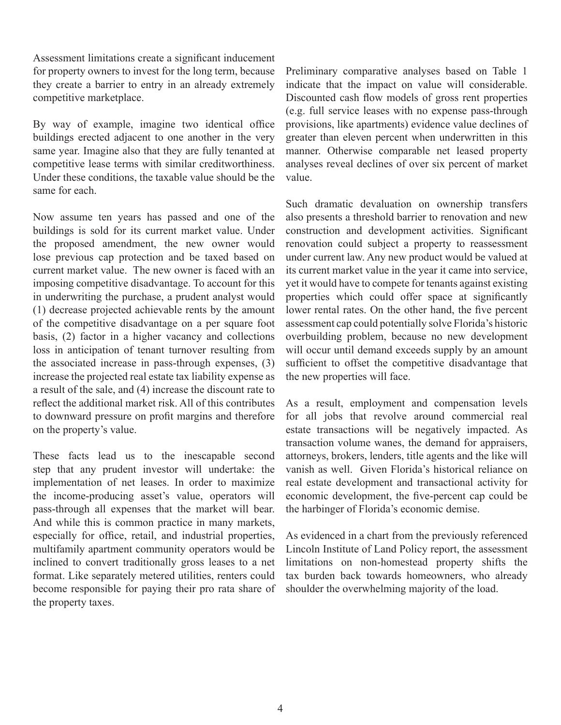Assessment limitations create a significant inducement for property owners to invest for the long term, because they create a barrier to entry in an already extremely competitive marketplace.

By way of example, imagine two identical office buildings erected adjacent to one another in the very same year. Imagine also that they are fully tenanted at competitive lease terms with similar creditworthiness. Under these conditions, the taxable value should be the same for each.

Now assume ten years has passed and one of the buildings is sold for its current market value. Under the proposed amendment, the new owner would lose previous cap protection and be taxed based on current market value. The new owner is faced with an imposing competitive disadvantage. To account for this in underwriting the purchase, a prudent analyst would (1) decrease projected achievable rents by the amount of the competitive disadvantage on a per square foot basis, (2) factor in a higher vacancy and collections loss in anticipation of tenant turnover resulting from the associated increase in pass-through expenses, (3) increase the projected real estate tax liability expense as a result of the sale, and (4) increase the discount rate to reflect the additional market risk. All of this contributes to downward pressure on profit margins and therefore on the property's value.

These facts lead us to the inescapable second step that any prudent investor will undertake: the implementation of net leases. In order to maximize the income-producing asset's value, operators will pass-through all expenses that the market will bear. And while this is common practice in many markets, especially for office, retail, and industrial properties, multifamily apartment community operators would be inclined to convert traditionally gross leases to a net format. Like separately metered utilities, renters could become responsible for paying their pro rata share of the property taxes.

Preliminary comparative analyses based on Table 1 indicate that the impact on value will considerable. Discounted cash flow models of gross rent properties (e.g. full service leases with no expense pass-through provisions, like apartments) evidence value declines of greater than eleven percent when underwritten in this manner. Otherwise comparable net leased property analyses reveal declines of over six percent of market value.

Such dramatic devaluation on ownership transfers also presents a threshold barrier to renovation and new construction and development activities. Significant renovation could subject a property to reassessment under current law. Any new product would be valued at its current market value in the year it came into service, yet it would have to compete for tenants against existing properties which could offer space at significantly lower rental rates. On the other hand, the five percent assessment cap could potentially solve Florida's historic overbuilding problem, because no new development will occur until demand exceeds supply by an amount sufficient to offset the competitive disadvantage that the new properties will face.

As a result, employment and compensation levels for all jobs that revolve around commercial real estate transactions will be negatively impacted. As transaction volume wanes, the demand for appraisers, attorneys, brokers, lenders, title agents and the like will vanish as well. Given Florida's historical reliance on real estate development and transactional activity for economic development, the five-percent cap could be the harbinger of Florida's economic demise.

As evidenced in a chart from the previously referenced Lincoln Institute of Land Policy report, the assessment limitations on non-homestead property shifts the tax burden back towards homeowners, who already shoulder the overwhelming majority of the load.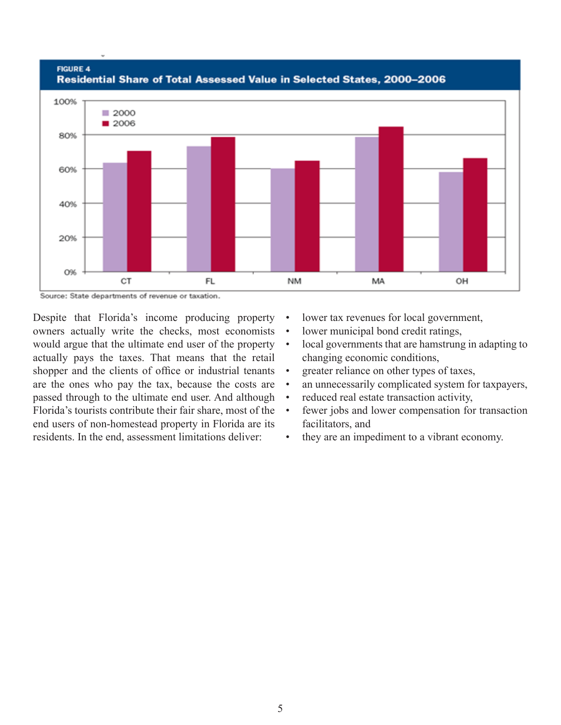

Source: State departments of revenue or taxation.

Despite that Florida's income producing property owners actually write the checks, most economists would argue that the ultimate end user of the property  $\bullet$ actually pays the taxes. That means that the retail shopper and the clients of office or industrial tenants • are the ones who pay the tax, because the costs are passed through to the ultimate end user. And although Florida's tourists contribute their fair share, most of the end users of non-homestead property in Florida are its residents. In the end, assessment limitations deliver:

- lower tax revenues for local government,
- lower municipal bond credit ratings,
- local governments that are hamstrung in adapting to changing economic conditions,
- greater reliance on other types of taxes,
- an unnecessarily complicated system for taxpayers,
- reduced real estate transaction activity,
- fewer jobs and lower compensation for transaction facilitators, and
- they are an impediment to a vibrant economy.